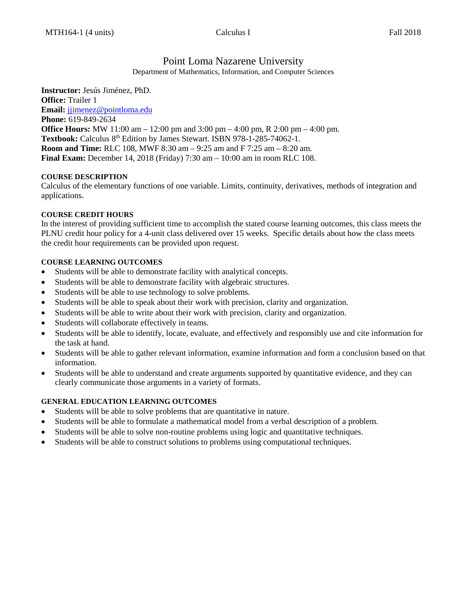# Point Loma Nazarene University

Department of Mathematics, Information, and Computer Sciences

**Instructor:** Jesús Jiménez, PhD. **Office:** Trailer 1 **Email:** [jjimenez@pointloma.edu](mailto:jjimenez@pointloma.edu) **Phone:** 619-849-2634 **Office Hours:** MW 11:00 am – 12:00 pm and 3:00 pm – 4:00 pm, R 2:00 pm – 4:00 pm. Textbook: Calculus 8<sup>th</sup> Edition by James Stewart. ISBN 978-1-285-74062-1. **Room and Time:** RLC 108, MWF 8:30 am – 9:25 am and F 7:25 am – 8:20 am. **Final Exam:** December 14, 2018 (Friday) 7:30 am – 10:00 am in room RLC 108.

# **COURSE DESCRIPTION**

Calculus of the elementary functions of one variable. Limits, continuity, derivatives, methods of integration and applications.

# **COURSE CREDIT HOURS**

In the interest of providing sufficient time to accomplish the stated course learning outcomes, this class meets the PLNU credit hour policy for a 4-unit class delivered over 15 weeks. Specific details about how the class meets the credit hour requirements can be provided upon request.

# **COURSE LEARNING OUTCOMES**

- Students will be able to demonstrate facility with analytical concepts.
- Students will be able to demonstrate facility with algebraic structures.
- Students will be able to use technology to solve problems.
- Students will be able to speak about their work with precision, clarity and organization.
- Students will be able to write about their work with precision, clarity and organization.
- Students will collaborate effectively in teams.
- Students will be able to identify, locate, evaluate, and effectively and responsibly use and cite information for the task at hand.
- Students will be able to gather relevant information, examine information and form a conclusion based on that information.
- Students will be able to understand and create arguments supported by quantitative evidence, and they can clearly communicate those arguments in a variety of formats.

# **GENERAL EDUCATION LEARNING OUTCOMES**

- Students will be able to solve problems that are quantitative in nature.
- Students will be able to formulate a mathematical model from a verbal description of a problem.
- Students will be able to solve non-routine problems using logic and quantitative techniques.
- Students will be able to construct solutions to problems using computational techniques.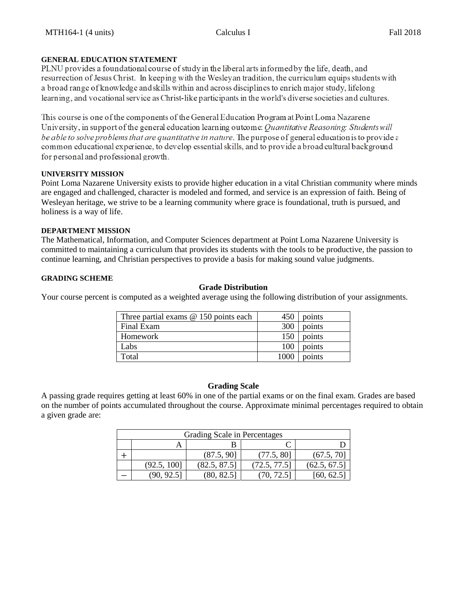**GENERAL EDUCATION STATEMENT**<br>PLNU provides a foundational course of study in the liberal arts informed by the life, death, and resurrection of Jesus Christ. In keeping with the Wesleyan tradition, the curriculum equips students with a broad range of knowledge and skills within and across disciplines to enrich major study, lifelong learning, and vocational service as Christ-like participants in the world's diverse societies and cultures.

This course is one of the components of the General Education Program at Point Loma Nazarene University, in support of the general education learning outcome: *Quantitative Reasoning: Students will* be able to solve problems that are quantitative in nature. The purpose of general education is to provide a common educational experience, to develop essential skills, and to provide a broad cultural background for personal and professional growth.

### **UNIVERSITY MISSION**

Point Loma Nazarene University exists to provide higher education in a vital Christian community where minds are engaged and challenged, character is modeled and formed, and service is an expression of faith. Being of Wesleyan heritage, we strive to be a learning community where grace is foundational, truth is pursued, and holiness is a way of life.

#### **DEPARTMENT MISSION**

The Mathematical, Information, and Computer Sciences department at Point Loma Nazarene University is committed to maintaining a curriculum that provides its students with the tools to be productive, the passion to continue learning, and Christian perspectives to provide a basis for making sound value judgments.

#### **GRADING SCHEME**

# **Grade Distribution**

Your course percent is computed as a weighted average using the following distribution of your assignments.

| Three partial exams $@$ 150 points each | 450  | points |
|-----------------------------------------|------|--------|
| Final Exam                              | 300  | points |
| Homework                                | 150  | points |
| Labs                                    | 100  | points |
| Total                                   | 1000 | points |

### **Grading Scale**

A passing grade requires getting at least 60% in one of the partial exams or on the final exam. Grades are based on the number of points accumulated throughout the course. Approximate minimal percentages required to obtain a given grade are:

| Grading Scale in Percentages |             |              |              |              |  |
|------------------------------|-------------|--------------|--------------|--------------|--|
|                              |             |              |              |              |  |
|                              |             | (87.5, 90]   | (77.5, 80)   | (67.5, 70)   |  |
|                              | (92.5, 100] | (82.5, 87.5) | (72.5, 77.5) | (62.5, 67.5) |  |
|                              | (90, 92.5)  | (80, 82.5)   | (70, 72.5)   | [60, 62.5]   |  |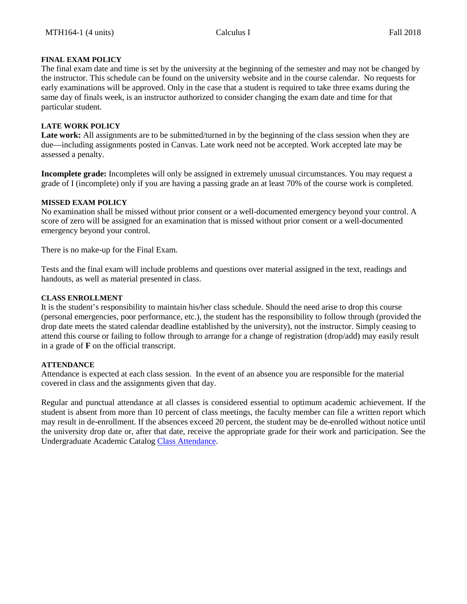## **FINAL EXAM POLICY**

The final exam date and time is set by the university at the beginning of the semester and may not be changed by the instructor. This schedule can be found on the university website and in the course calendar. No requests for early examinations will be approved. Only in the case that a student is required to take three exams during the same day of finals week, is an instructor authorized to consider changing the exam date and time for that particular student.

### **LATE WORK POLICY**

Late work: All assignments are to be submitted/turned in by the beginning of the class session when they are due—including assignments posted in Canvas. Late work need not be accepted. Work accepted late may be assessed a penalty.

**Incomplete grade:** Incompletes will only be assigned in extremely unusual circumstances. You may request a grade of I (incomplete) only if you are having a passing grade an at least 70% of the course work is completed.

#### **MISSED EXAM POLICY**

No examination shall be missed without prior consent or a well-documented emergency beyond your control. A score of zero will be assigned for an examination that is missed without prior consent or a well-documented emergency beyond your control.

There is no make-up for the Final Exam.

Tests and the final exam will include problems and questions over material assigned in the text, readings and handouts, as well as material presented in class.

#### **CLASS ENROLLMENT**

It is the student's responsibility to maintain his/her class schedule. Should the need arise to drop this course (personal emergencies, poor performance, etc.), the student has the responsibility to follow through (provided the drop date meets the stated calendar deadline established by the university), not the instructor. Simply ceasing to attend this course or failing to follow through to arrange for a change of registration (drop/add) may easily result in a grade of **F** on the official transcript.

#### **ATTENDANCE**

Attendance is expected at each class session. In the event of an absence you are responsible for the material covered in class and the assignments given that day.

Regular and punctual attendance at all classes is considered essential to optimum academic achievement. If the student is absent from more than 10 percent of class meetings, the faculty member can file a written report which may result in de-enrollment. If the absences exceed 20 percent, the student may be de-enrolled without notice until the university drop date or, after that date, receive the appropriate grade for their work and participation. See the Undergraduate Academic Catalog [Class Attendance.](https://catalog.pointloma.edu/content.php?catoid=35&navoid=2136#Class_Attendance)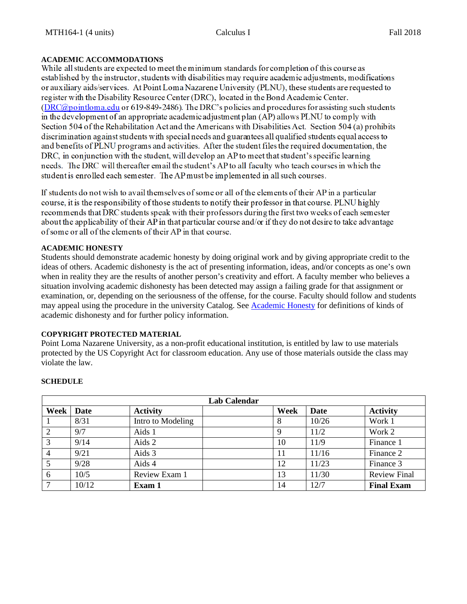**ACADEMIC ACCOMMODATIONS**<br>While all students are expected to meet the minimum standards for completion of this course as established by the instructor, students with disabilities may require academic adjustments, modifications or auxiliary aids/services. At Point Loma Nazarene University (PLNU), these students are requested to register with the Disability Resource Center (DRC), located in the Bond Academic Center.  $(DRC@pointloma.edu$  or 619-849-2486). The DRC's policies and procedures for assisting such students in the development of an appropriate academic adjustment plan (AP) allows PLNU to comply with Section 504 of the Rehabilitation Act and the Americans with Disabilities Act. Section 504 (a) prohibits discrimination against students with special needs and guarantees all qualified students equal access to and benefits of PLNU programs and activities. After the student files the required documentation, the DRC, in conjunction with the student, will develop an AP to meet that student's specific learning needs. The DRC will thereafter email the student's AP to all faculty who teach courses in which the student is enrolled each semester. The AP must be implemented in all such courses.

If students do not wish to avail themselves of some or all of the elements of their AP in a particular course, it is the responsibility of those students to notify their professor in that course. PLNU highly recommends that DRC students speak with their professors during the first two weeks of each semester about the applicability of their AP in that particular course and/or if they do not desire to take advantage of some or all of the elements of their AP in that course.

# **ACADEMIC HONESTY**

Students should demonstrate academic honesty by doing original work and by giving appropriate credit to the ideas of others. Academic dishonesty is the act of presenting information, ideas, and/or concepts as one's own when in reality they are the results of another person's creativity and effort. A faculty member who believes a situation involving academic dishonesty has been detected may assign a failing grade for that assignment or examination, or, depending on the seriousness of the offense, for the course. Faculty should follow and students may appeal using the procedure in the university Catalog. See [Academic Honesty](https://catalog.pointloma.edu/content.php?catoid=35&navoid=2136#Academic_Honesty) for definitions of kinds of academic dishonesty and for further policy information.

### **COPYRIGHT PROTECTED MATERIAL**

Point Loma Nazarene University, as a non-profit educational institution, is entitled by law to use materials protected by the US Copyright Act for classroom education. Any use of those materials outside the class may violate the law.

|                |       |                   | <b>Lab Calendar</b> |      |             |                     |
|----------------|-------|-------------------|---------------------|------|-------------|---------------------|
| Week           | Date  | <b>Activity</b>   |                     | Week | <b>Date</b> | <b>Activity</b>     |
|                | 8/31  | Intro to Modeling |                     | 8    | 10/26       | Work 1              |
| 2              | 9/7   | Aids 1            |                     | 9    | 11/2        | Work 2              |
| $\overline{3}$ | 9/14  | Aids 2            |                     | 10   | 11/9        | Finance 1           |
| $\overline{4}$ | 9/21  | Aids 3            |                     | 11   | 11/16       | Finance 2           |
| 5              | 9/28  | Aids 4            |                     | 12   | 11/23       | Finance 3           |
| 6              | 10/5  | Review Exam 1     |                     | 13   | 11/30       | <b>Review Final</b> |
| $\tau$         | 10/12 | Exam 1            |                     | 14   | 12/7        | <b>Final Exam</b>   |

### **SCHEDULE**